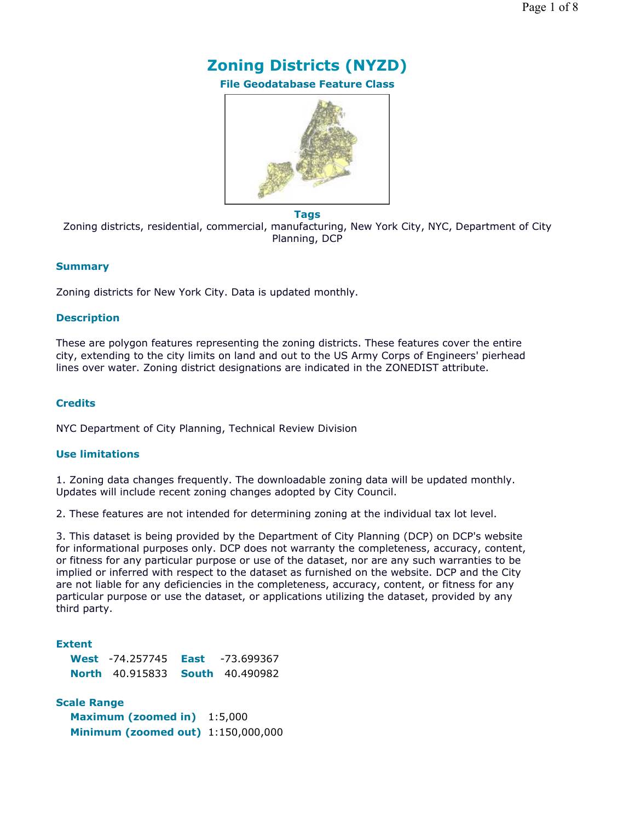

**File Geodatabase Feature Class**



**Tags**

Zoning districts, residential, commercial, manufacturing, New York City, NYC, Department of City Planning, DCP

### **Summary**

Zoning districts for New York City. Data is updated monthly.

### **Description**

These are polygon features representing the zoning districts. These features cover the entire city, extending to the city limits on land and out to the US Army Corps of Engineers' pierhead lines over water. Zoning district designations are indicated in the ZONEDIST attribute.

### **Credits**

NYC Department of City Planning, Technical Review Division

### **Use limitations**

1. Zoning data changes frequently. The downloadable zoning data will be updated monthly. Updates will include recent zoning changes adopted by City Council.

2. These features are not intended for determining zoning at the individual tax lot level.

3. This dataset is being provided by the Department of City Planning (DCP) on DCP's website for informational purposes only. DCP does not warranty the completeness, accuracy, content, or fitness for any particular purpose or use of the dataset, nor are any such warranties to be implied or inferred with respect to the dataset as furnished on the website. DCP and the City are not liable for any deficiencies in the completeness, accuracy, content, or fitness for any particular purpose or use the dataset, or applications utilizing the dataset, provided by any third party.

### **Extent**

| <b>West -74.257745 East</b>            | -73.699367 |
|----------------------------------------|------------|
| <b>North 40.915833 South 40.490982</b> |            |

**Scale Range Maximum (zoomed in)** 1:5,000 **Minimum (zoomed out)** 1:150,000,000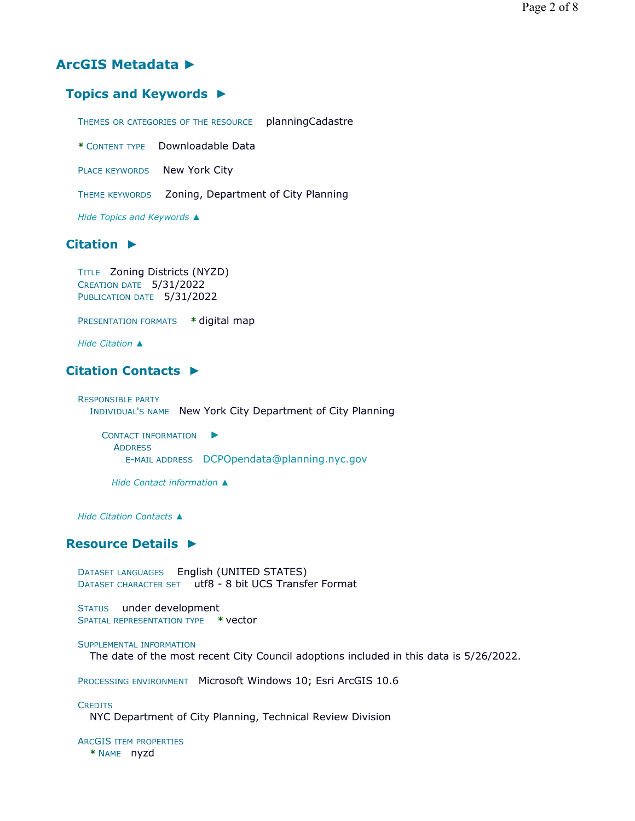## **ArcGIS Metadata ►**

## **Topics and Keywords ►**

THEMES OR CATEGORIES OF THE RESOURCE planningCadastre

**\*** CONTENT TYPE Downloadable Data

PLACE KEYWORDS New York City

THEME KEYWORDS Zoning, Department of City Planning

*Hide Topics and Keywords ▲*

## **Citation ►**

```
TITLE Zoning Districts (NYZD) 
CREATION DATE 5/31/2022 
PUBLICATION DATE 5/31/2022
```
PRESENTATION FORMATS **\*** digital map

*Hide Citation ▲*

## **Citation Contacts ►**

```
RESPONSIBLE PARTY
  INDIVIDUAL'S NAME New York City Department of City Planning
```
CONTACT INFORMATION ► ADDRESS E-MAIL ADDRESS DCPOpendata@planning.nyc.gov

*Hide Contact information ▲*

*Hide Citation Contacts ▲*

## **Resource Details ►**

DATASET LANGUAGES English (UNITED STATES) DATASET CHARACTER SET utf8 - 8 bit UCS Transfer Format

STATUS under development SPATIAL REPRESENTATION TYPE **\*** vector

```
SUPPLEMENTAL INFORMATION
```
The date of the most recent City Council adoptions included in this data is 5/26/2022.

PROCESSING ENVIRONMENT Microsoft Windows 10; Esri ArcGIS 10.6

#### **CREDITS**

NYC Department of City Planning, Technical Review Division

ARCGIS ITEM PROPERTIES **\*** NAME nyzd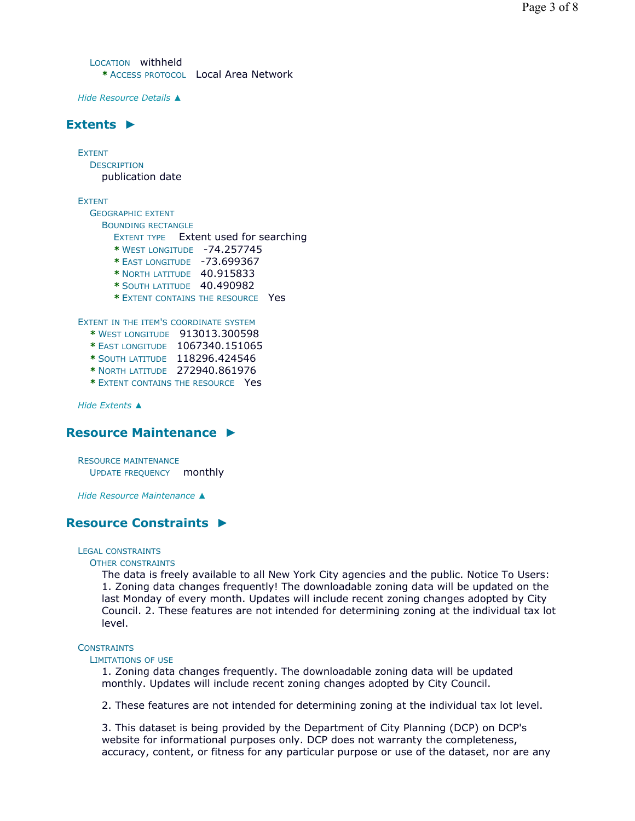LOCATION withheld **\*** ACCESS PROTOCOL Local Area Network

*Hide Resource Details ▲*

## **Extents ►**

EXTENT **DESCRIPTION** publication date

EXTENT

GEOGRAPHIC EXTENT BOUNDING RECTANGLE EXTENT TYPE Extent used for searching **\*** WEST LONGITUDE -74.257745 **\*** EAST LONGITUDE -73.699367 **\*** NORTH LATITUDE 40.915833 **\*** SOUTH LATITUDE 40.490982 **\*** EXTENT CONTAINS THE RESOURCE Yes EXTENT IN THE ITEM'S COORDINATE SYSTEM **\*** WEST LONGITUDE 913013.300598

- **\*** EAST LONGITUDE 1067340.151065
- **\*** SOUTH LATITUDE 118296.424546
- **\*** NORTH LATITUDE 272940.861976
- **\*** EXTENT CONTAINS THE RESOURCE Yes

*Hide Extents ▲*

### **Resource Maintenance ►**

RESOURCE MAINTENANCE UPDATE FREQUENCY monthly

*Hide Resource Maintenance ▲*

## **Resource Constraints ►**

#### LEGAL CONSTRAINTS

#### OTHER CONSTRAINTS

The data is freely available to all New York City agencies and the public. Notice To Users: 1. Zoning data changes frequently! The downloadable zoning data will be updated on the last Monday of every month. Updates will include recent zoning changes adopted by City Council. 2. These features are not intended for determining zoning at the individual tax lot level.

#### **CONSTRAINTS**

#### LIMITATIONS OF USE

1. Zoning data changes frequently. The downloadable zoning data will be updated monthly. Updates will include recent zoning changes adopted by City Council.

2. These features are not intended for determining zoning at the individual tax lot level.

3. This dataset is being provided by the Department of City Planning (DCP) on DCP's website for informational purposes only. DCP does not warranty the completeness, accuracy, content, or fitness for any particular purpose or use of the dataset, nor are any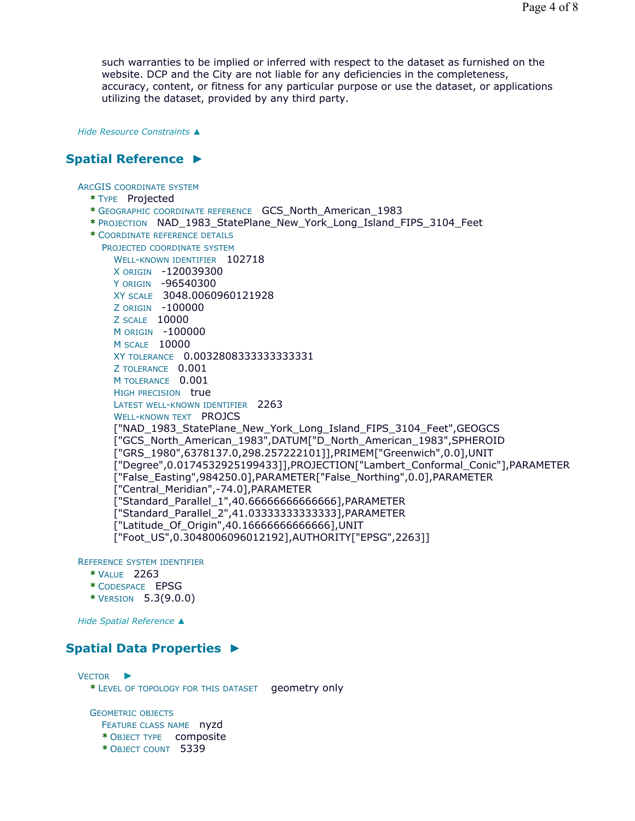such warranties to be implied or inferred with respect to the dataset as furnished on the website. DCP and the City are not liable for any deficiencies in the completeness, accuracy, content, or fitness for any particular purpose or use the dataset, or applications utilizing the dataset, provided by any third party.

*Hide Resource Constraints ▲*

## **Spatial Reference ►**

ARCGIS COORDINATE SYSTEM

- **\*** TYPE Projected
- **\*** GEOGRAPHIC COORDINATE REFERENCE GCS\_North\_American\_1983
- **\*** PROJECTION NAD\_1983\_StatePlane\_New\_York\_Long\_Island\_FIPS\_3104\_Feet
- **\*** COORDINATE REFERENCE DETAILS
	- PROJECTED COORDINATE SYSTEM WELL-KNOWN IDENTIFIER 102718 X ORIGIN -120039300 Y ORIGIN -96540300 XY SCALE 3048.0060960121928 Z ORIGIN -100000 Z SCALE 10000 M ORIGIN -100000 M SCALE 10000 XY TOLERANCE 0.0032808333333333331 Z TOLERANCE 0.001 M TOLERANCE 0.001 HIGH PRECISION true LATEST WELL-KNOWN IDENTIFIER 2263 WELL-KNOWN TEXT PROJCS ["NAD\_1983\_StatePlane\_New\_York\_Long\_Island\_FIPS\_3104\_Feet",GEOGCS ["GCS\_North\_American\_1983",DATUM["D\_North\_American\_1983",SPHEROID ["GRS\_1980",6378137.0,298.257222101]],PRIMEM["Greenwich",0.0],UNIT ["Degree",0.0174532925199433]],PROJECTION["Lambert\_Conformal\_Conic"],PARAMETER ["False\_Easting",984250.0],PARAMETER["False\_Northing",0.0],PARAMETER ["Central\_Meridian",-74.0],PARAMETER ["Standard\_Parallel\_1",40.66666666666666],PARAMETER ["Standard\_Parallel\_2",41.03333333333333],PARAMETER ["Latitude\_Of\_Origin",40.16666666666666],UNIT ["Foot\_US",0.3048006096012192],AUTHORITY["EPSG",2263]]

REFERENCE SYSTEM IDENTIFIER

- **\*** VALUE 2263
- **\*** CODESPACE EPSG
- **\*** VERSION 5.3(9.0.0)

*Hide Spatial Reference ▲*

## **Spatial Data Properties ►**

VECTOR ► **\*** LEVEL OF TOPOLOGY FOR THIS DATASET geometry only GEOMETRIC OBJECTS FEATURE CLASS NAME nyzd

- **\*** OBJECT TYPE composite
- **\*** OBJECT COUNT 5339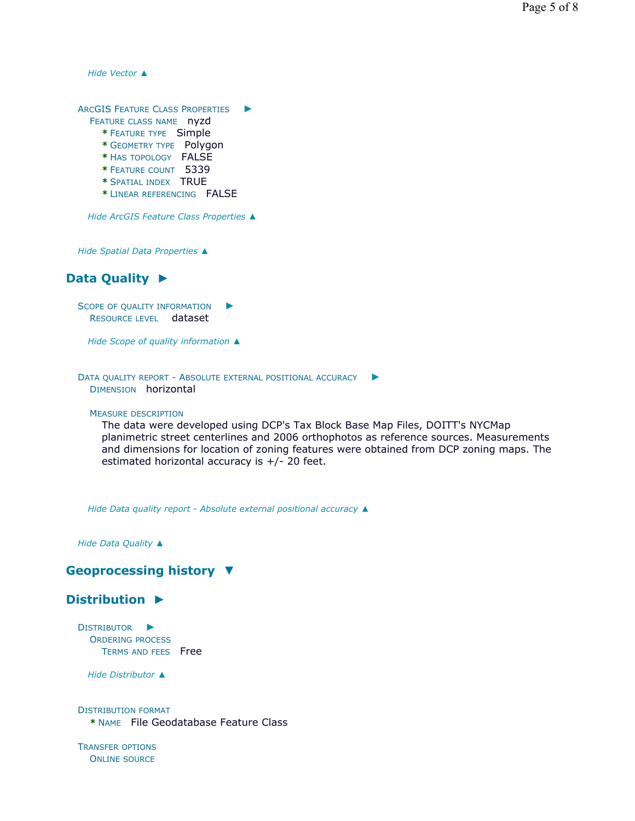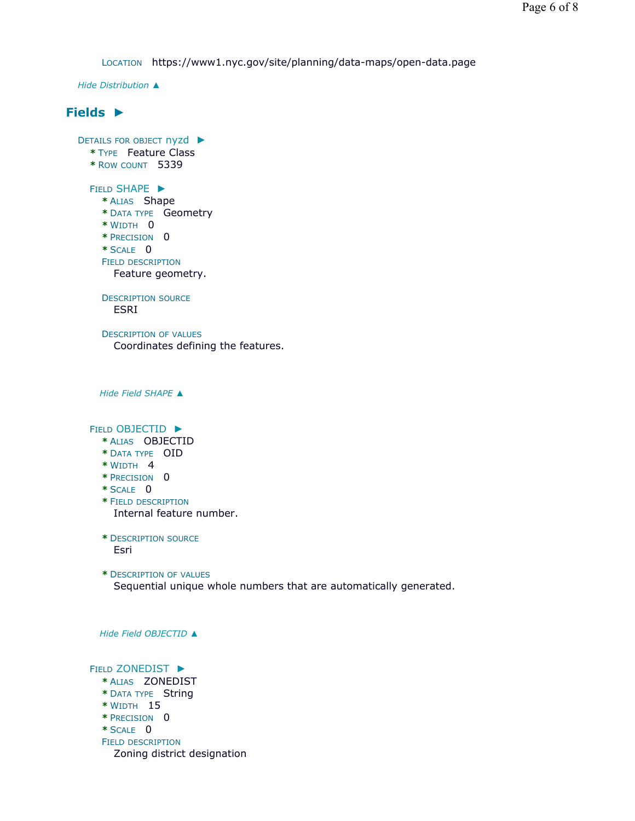LOCATION https://www1.nyc.gov/site/planning/data-maps/open-data.page

*Hide Distribution ▲*

## **Fields ►**

DETAILS FOR OBJECT nyzd ▶ **\*** TYPE Feature Class **\*** ROW COUNT 5339 FIELD SHAPE ► **\*** ALIAS Shape **\*** DATA TYPE Geometry **\*** WIDTH 0 **\*** PRECISION 0 **\*** SCALE 0 FIELD DESCRIPTION DESCRIPTION SOURCE DESCRIPTION OF VALUES *Hide Field SHAPE ▲* FIELD OBJECTID ► **\*** ALIAS OBJECTID **\*** DATA TYPE OID **\*** WIDTH 4 **\*** PRECISION 0 **\*** SCALE 0 **\*** FIELD DESCRIPTION **\*** DESCRIPTION SOURCE **\*** DESCRIPTION OF VALUES *Hide Field OBJECTID ▲* FIELD ZONEDIST ▶ **\*** ALIAS ZONEDIST **\*** DATA TYPE String **\*** WIDTH 15 **\*** PRECISION 0 **\*** SCALE 0 FIELD DESCRIPTION Feature geometry. ESRI Coordinates defining the features. Internal feature number. Esri Sequential unique whole numbers that are automatically generated. Zoning district designation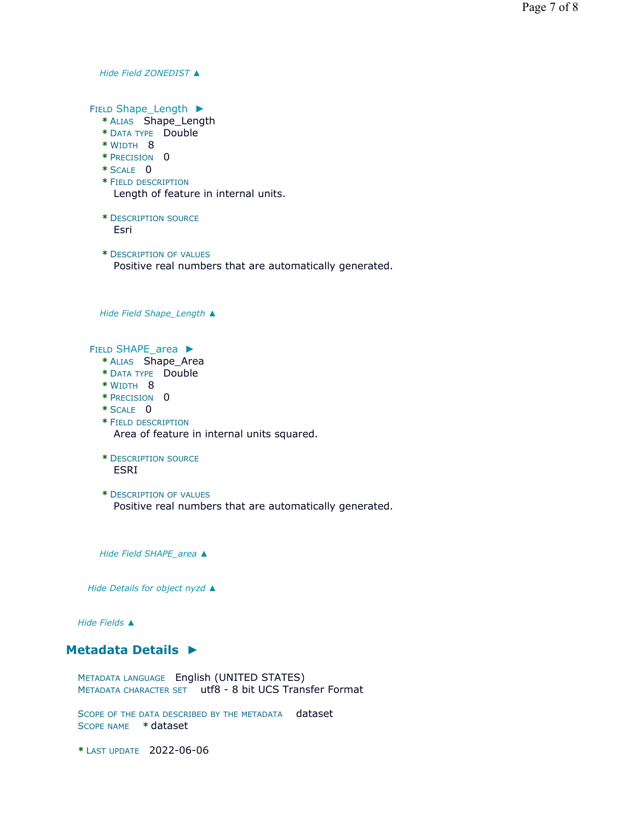*Hide Field ZONEDIST ▲*

FIELD Shape\_Length ►

- **\*** ALIAS Shape\_Length
- **\*** DATA TYPE Double
- **\*** WIDTH 8
- **\*** PRECISION 0
- **\*** SCALE 0
- **\*** FIELD DESCRIPTION Length of feature in internal units.
- **\*** DESCRIPTION SOURCE Esri
- **\*** DESCRIPTION OF VALUES Positive real numbers that are automatically generated.

*Hide Field Shape\_Length ▲*

FIELD SHAPE\_area ▶

- **\*** ALIAS Shape\_Area
- **\*** DATA TYPE Double
- **\*** WIDTH 8
- **\*** PRECISION 0
- **\*** SCALE 0
- **\*** FIELD DESCRIPTION Area of feature in internal units squared.
- **\*** DESCRIPTION SOURCE ESRI
- **\*** DESCRIPTION OF VALUES Positive real numbers that are automatically generated.

*Hide Field SHAPE\_area ▲*

*Hide Details for object nyzd ▲*

*Hide Fields ▲*

## **Metadata Details ►**

METADATA LANGUAGE English (UNITED STATES) METADATA CHARACTER SET utf8 - 8 bit UCS Transfer Format

SCOPE OF THE DATA DESCRIBED BY THE METADATA dataset SCOPE NAME **\*** dataset

**\*** LAST UPDATE 2022-06-06